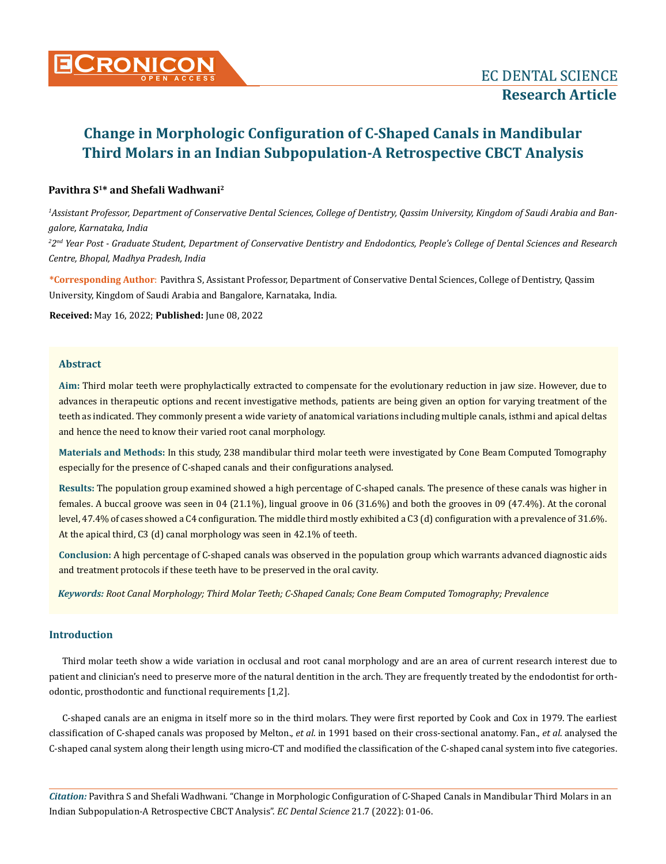

# **Change in Morphologic Configuration of C-Shaped Canals in Mandibular Third Molars in an Indian Subpopulation-A Retrospective CBCT Analysis**

# **Pavithra S<sup>1</sup>\* and Shefali Wadhwani<sup>2</sup>**

*1 Assistant Professor, Department of Conservative Dental Sciences, College of Dentistry, Qassim University, Kingdom of Saudi Arabia and Bangalore, Karnataka, India*

*2 2nd Year Post - Graduate Student, Department of Conservative Dentistry and Endodontics, People's College of Dental Sciences and Research Centre, Bhopal, Madhya Pradesh, India*

**\*Corresponding Author**: Pavithra S, Assistant Professor, Department of Conservative Dental Sciences, College of Dentistry, Qassim University, Kingdom of Saudi Arabia and Bangalore, Karnataka, India.

**Received:** May 16, 2022; **Published:** June 08, 2022

# **Abstract**

**Aim:** Third molar teeth were prophylactically extracted to compensate for the evolutionary reduction in jaw size. However, due to advances in therapeutic options and recent investigative methods, patients are being given an option for varying treatment of the teeth as indicated. They commonly present a wide variety of anatomical variations including multiple canals, isthmi and apical deltas and hence the need to know their varied root canal morphology.

**Materials and Methods:** In this study, 238 mandibular third molar teeth were investigated by Cone Beam Computed Tomography especially for the presence of C-shaped canals and their configurations analysed.

**Results:** The population group examined showed a high percentage of C-shaped canals. The presence of these canals was higher in females. A buccal groove was seen in 04 (21.1%), lingual groove in 06 (31.6%) and both the grooves in 09 (47.4%). At the coronal level, 47.4% of cases showed a C4 configuration. The middle third mostly exhibited a C3 (d) configuration with a prevalence of 31.6%. At the apical third, C3 (d) canal morphology was seen in 42.1% of teeth.

**Conclusion:** A high percentage of C-shaped canals was observed in the population group which warrants advanced diagnostic aids and treatment protocols if these teeth have to be preserved in the oral cavity.

*Keywords: Root Canal Morphology; Third Molar Teeth; C-Shaped Canals; Cone Beam Computed Tomography; Prevalence*

# **Introduction**

Third molar teeth show a wide variation in occlusal and root canal morphology and are an area of current research interest due to patient and clinician's need to preserve more of the natural dentition in the arch. They are frequently treated by the endodontist for orthodontic, prosthodontic and functional requirements [1,2].

C-shaped canals are an enigma in itself more so in the third molars. They were first reported by Cook and Cox in 1979. The earliest classification of C-shaped canals was proposed by Melton., *et al*. in 1991 based on their cross-sectional anatomy. Fan., *et al*. analysed the C-shaped canal system along their length using micro-CT and modified the classification of the C-shaped canal system into five categories.

*Citation:* Pavithra S and Shefali Wadhwani*.* "Change in Morphologic Configuration of C-Shaped Canals in Mandibular Third Molars in an Indian Subpopulation-A Retrospective CBCT Analysis". *EC Dental Science* 21.7 (2022): 01-06.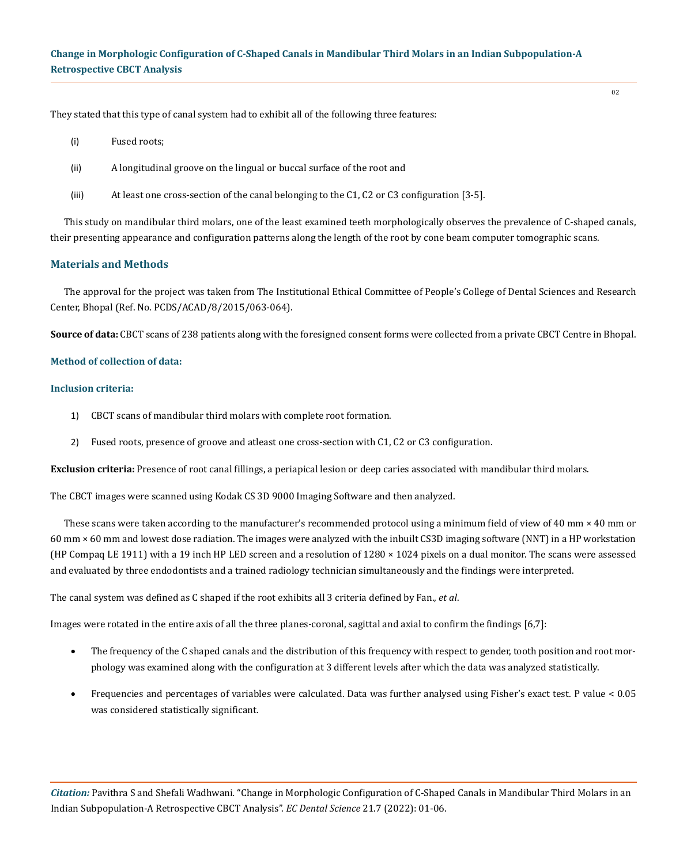They stated that this type of canal system had to exhibit all of the following three features:

- (i) Fused roots;
- (ii) A longitudinal groove on the lingual or buccal surface of the root and
- (iii) At least one cross-section of the canal belonging to the C1, C2 or C3 configuration [3-5].

This study on mandibular third molars, one of the least examined teeth morphologically observes the prevalence of C-shaped canals, their presenting appearance and configuration patterns along the length of the root by cone beam computer tomographic scans.

## **Materials and Methods**

The approval for the project was taken from The Institutional Ethical Committee of People's College of Dental Sciences and Research Center, Bhopal (Ref. No. PCDS/ACAD/8/2015/063-064).

**Source of data:** CBCT scans of 238 patients along with the foresigned consent forms were collected from a private CBCT Centre in Bhopal.

#### **Method of collection of data:**

#### **Inclusion criteria:**

- 1) CBCT scans of mandibular third molars with complete root formation.
- 2) Fused roots, presence of groove and atleast one cross-section with C1, C2 or C3 configuration.

**Exclusion criteria:** Presence of root canal fillings, a periapical lesion or deep caries associated with mandibular third molars.

The CBCT images were scanned using Kodak CS 3D 9000 Imaging Software and then analyzed.

These scans were taken according to the manufacturer's recommended protocol using a minimum field of view of 40 mm  $\times$  40 mm or 60 mm × 60 mm and lowest dose radiation. The images were analyzed with the inbuilt CS3D imaging software (NNT) in a HP workstation (HP Compaq LE 1911) with a 19 inch HP LED screen and a resolution of 1280 × 1024 pixels on a dual monitor. The scans were assessed and evaluated by three endodontists and a trained radiology technician simultaneously and the findings were interpreted.

The canal system was defined as C shaped if the root exhibits all 3 criteria defined by Fan., *et al*.

Images were rotated in the entire axis of all the three planes-coronal, sagittal and axial to confirm the findings [6,7]:

- The frequency of the C shaped canals and the distribution of this frequency with respect to gender, tooth position and root morphology was examined along with the configuration at 3 different levels after which the data was analyzed statistically.
- Frequencies and percentages of variables were calculated. Data was further analysed using Fisher's exact test. P value < 0.05 was considered statistically significant.

*Citation:* Pavithra S and Shefali Wadhwani*.* "Change in Morphologic Configuration of C-Shaped Canals in Mandibular Third Molars in an Indian Subpopulation-A Retrospective CBCT Analysis". *EC Dental Science* 21.7 (2022): 01-06.

02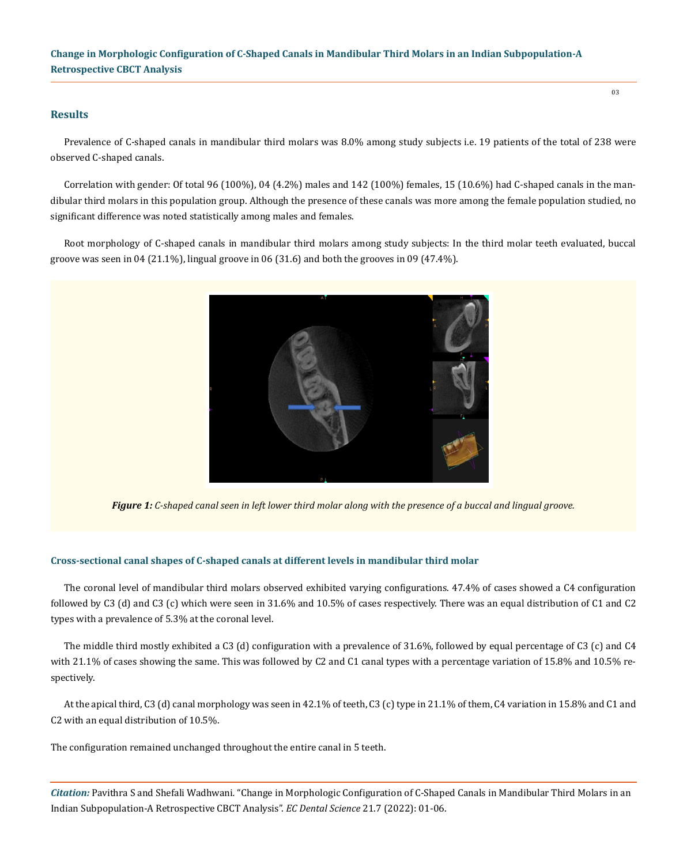**Change in Morphologic Configuration of C-Shaped Canals in Mandibular Third Molars in an Indian Subpopulation-A Retrospective CBCT Analysis**

#### **Results**

Prevalence of C-shaped canals in mandibular third molars was 8.0% among study subjects i.e. 19 patients of the total of 238 were observed C-shaped canals.

Correlation with gender: Of total 96 (100%), 04 (4.2%) males and 142 (100%) females, 15 (10.6%) had C-shaped canals in the mandibular third molars in this population group. Although the presence of these canals was more among the female population studied, no significant difference was noted statistically among males and females.

Root morphology of C-shaped canals in mandibular third molars among study subjects: In the third molar teeth evaluated, buccal groove was seen in 04 (21.1%), lingual groove in 06 (31.6) and both the grooves in 09 (47.4%).



*Figure 1: C-shaped canal seen in left lower third molar along with the presence of a buccal and lingual groove.*

#### **Cross-sectional canal shapes of C-shaped canals at different levels in mandibular third molar**

The coronal level of mandibular third molars observed exhibited varying configurations. 47.4% of cases showed a C4 configuration followed by C3 (d) and C3 (c) which were seen in 31.6% and 10.5% of cases respectively. There was an equal distribution of C1 and C2 types with a prevalence of 5.3% at the coronal level.

The middle third mostly exhibited a C3 (d) configuration with a prevalence of 31.6%, followed by equal percentage of C3 (c) and C4 with 21.1% of cases showing the same. This was followed by C2 and C1 canal types with a percentage variation of 15.8% and 10.5% respectively.

At the apical third, C3 (d) canal morphology was seen in 42.1% of teeth, C3 (c) type in 21.1% of them, C4 variation in 15.8% and C1 and C2 with an equal distribution of 10.5%.

The configuration remained unchanged throughout the entire canal in 5 teeth.

*Citation:* Pavithra S and Shefali Wadhwani*.* "Change in Morphologic Configuration of C-Shaped Canals in Mandibular Third Molars in an Indian Subpopulation-A Retrospective CBCT Analysis". *EC Dental Science* 21.7 (2022): 01-06.

03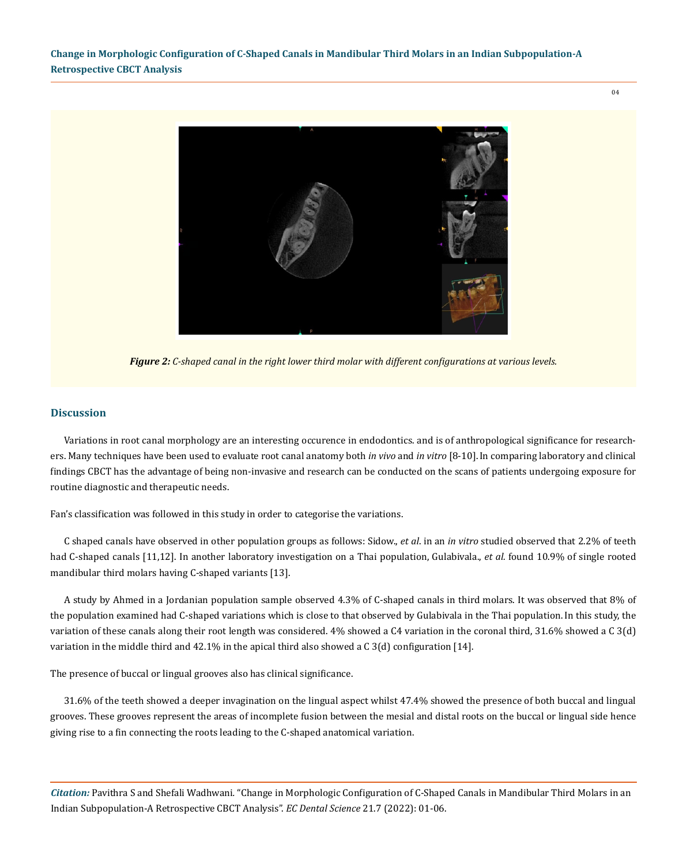$04$ 



*Figure 2: C-shaped canal in the right lower third molar with different configurations at various levels.*

## **Discussion**

Variations in root canal morphology are an interesting occurence in endodontics. and is of anthropological significance for researchers. Many techniques have been used to evaluate root canal anatomy both *in vivo* and *in vitro* [8-10].In comparing laboratory and clinical findings CBCT has the advantage of being non-invasive and research can be conducted on the scans of patients undergoing exposure for routine diagnostic and therapeutic needs.

Fan's classification was followed in this study in order to categorise the variations.

C shaped canals have observed in other population groups as follows: Sidow., *et al*. in an *in vitro* studied observed that 2.2% of teeth had C-shaped canals [11,12]. In another laboratory investigation on a Thai population, Gulabivala., *et al.* found 10.9% of single rooted mandibular third molars having C-shaped variants [13].

A study by Ahmed in a Jordanian population sample observed 4.3% of C-shaped canals in third molars. It was observed that 8% of the population examined had C-shaped variations which is close to that observed by Gulabivala in the Thai population.In this study, the variation of these canals along their root length was considered. 4% showed a C4 variation in the coronal third, 31.6% showed a C 3(d) variation in the middle third and 42.1% in the apical third also showed a C 3(d) configuration [14].

The presence of buccal or lingual grooves also has clinical significance.

31.6% of the teeth showed a deeper invagination on the lingual aspect whilst 47.4% showed the presence of both buccal and lingual grooves. These grooves represent the areas of incomplete fusion between the mesial and distal roots on the buccal or lingual side hence giving rise to a fin connecting the roots leading to the C-shaped anatomical variation.

*Citation:* Pavithra S and Shefali Wadhwani*.* "Change in Morphologic Configuration of C-Shaped Canals in Mandibular Third Molars in an Indian Subpopulation-A Retrospective CBCT Analysis". *EC Dental Science* 21.7 (2022): 01-06.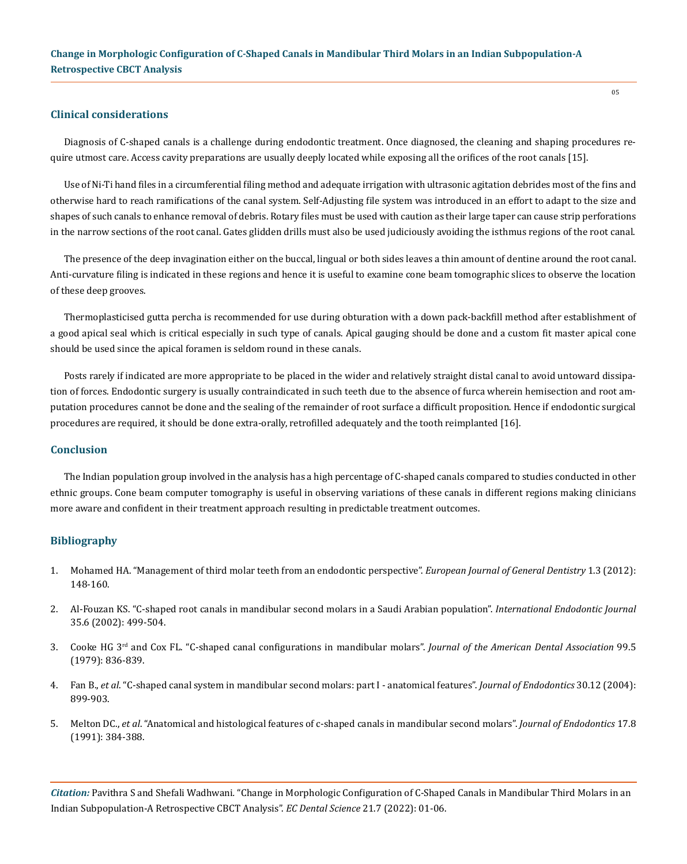## **Clinical considerations**

Diagnosis of C-shaped canals is a challenge during endodontic treatment. Once diagnosed, the cleaning and shaping procedures require utmost care. Access cavity preparations are usually deeply located while exposing all the orifices of the root canals [15].

Use of Ni-Ti hand files in a circumferential filing method and adequate irrigation with ultrasonic agitation debrides most of the fins and otherwise hard to reach ramifications of the canal system. Self-Adjusting file system was introduced in an effort to adapt to the size and shapes of such canals to enhance removal of debris. Rotary files must be used with caution as their large taper can cause strip perforations in the narrow sections of the root canal. Gates glidden drills must also be used judiciously avoiding the isthmus regions of the root canal.

The presence of the deep invagination either on the buccal, lingual or both sides leaves a thin amount of dentine around the root canal. Anti-curvature filing is indicated in these regions and hence it is useful to examine cone beam tomographic slices to observe the location of these deep grooves.

Thermoplasticised gutta percha is recommended for use during obturation with a down pack-backfill method after establishment of a good apical seal which is critical especially in such type of canals. Apical gauging should be done and a custom fit master apical cone should be used since the apical foramen is seldom round in these canals.

Posts rarely if indicated are more appropriate to be placed in the wider and relatively straight distal canal to avoid untoward dissipation of forces. Endodontic surgery is usually contraindicated in such teeth due to the absence of furca wherein hemisection and root amputation procedures cannot be done and the sealing of the remainder of root surface a difficult proposition. Hence if endodontic surgical procedures are required, it should be done extra-orally, retrofilled adequately and the tooth reimplanted [16].

#### **Conclusion**

The Indian population group involved in the analysis has a high percentage of C-shaped canals compared to studies conducted in other ethnic groups. Cone beam computer tomography is useful in observing variations of these canals in different regions making clinicians more aware and confident in their treatment approach resulting in predictable treatment outcomes.

## **Bibliography**

- 1. [Mohamed HA. "Management of third molar teeth from an endodontic perspective".](https://www.researchgate.net/publication/234023545_Management_of_third_molar_teeth_from_an_endodontic_perspective) *European Journal of General Dentistry* 1.3 (2012): [148-160.](https://www.researchgate.net/publication/234023545_Management_of_third_molar_teeth_from_an_endodontic_perspective)
- 2. [Al-Fouzan KS. "C-shaped root canals in mandibular second molars in a Saudi Arabian population".](https://pubmed.ncbi.nlm.nih.gov/12190906/) *International Endodontic Journal*  [35.6 \(2002\): 499-504.](https://pubmed.ncbi.nlm.nih.gov/12190906/)
- 3. Cooke HG 3rd [and Cox FL. "C-shaped canal configurations in mandibular molars".](https://pubmed.ncbi.nlm.nih.gov/290680/) *Journal of the American Dental Association* 99.5 [\(1979\): 836-839.](https://pubmed.ncbi.nlm.nih.gov/290680/)
- 4. Fan B., *et al*[. "C-shaped canal system in mandibular second molars: part I anatomical features".](https://pubmed.ncbi.nlm.nih.gov/15564874/) *Journal of Endodontics* 30.12 (2004): [899-903.](https://pubmed.ncbi.nlm.nih.gov/15564874/)
- 5. Melton DC., *et al*[. "Anatomical and histological features of c-shaped canals in mandibular second molars".](https://pubmed.ncbi.nlm.nih.gov/1809802/) *Journal of Endodontics* 17.8 [\(1991\): 384-388.](https://pubmed.ncbi.nlm.nih.gov/1809802/)

*Citation:* Pavithra S and Shefali Wadhwani*.* "Change in Morphologic Configuration of C-Shaped Canals in Mandibular Third Molars in an Indian Subpopulation-A Retrospective CBCT Analysis". *EC Dental Science* 21.7 (2022): 01-06.